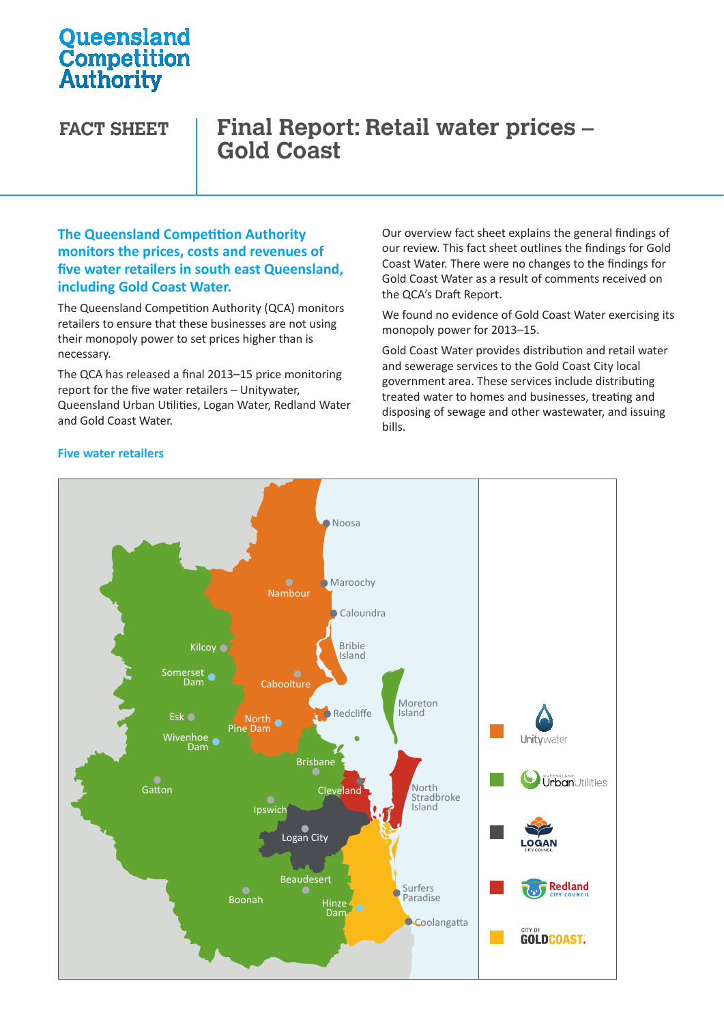# **Oueensland Competition**<br>Authority

## **FACT SHEET Final Report: Retail water prices – Gold Coast**

#### **The Queensland Competition Authority monitors the prices, costs and revenues of five water retailers in south east Queensland, including Gold Coast Water.**

The Queensland Competition Authority (QCA) monitors retailers to ensure that these businesses are not using their monopoly power to set prices higher than is necessary.

The QCA has released a final 2013–15 price monitoring report for the five water retailers – Unitywater,  $\frac{1}{2}$ Queensland Urban Utilities, Logan Water, Redland Water Urban Utilities Water Water and Gold Coast Water.

Our overview fact sheet explains the general findings of our review. This fact sheet outlines the findings for Gold Coast Water. There were no changes to the findings for Gold Coast Water as a result of comments received on the QCA's Draft Report.

We found no evidence of Gold Coast Water exercising its monopoly power for 2013–15.

Gold Coast Water provides distribution and retail water and sewerage services to the Gold Coast City local government area. These services include distributing treated water to homes and businesses, treating and disposing of sewage and other wastewater, and issuing bills.



#### **Five water retailers**